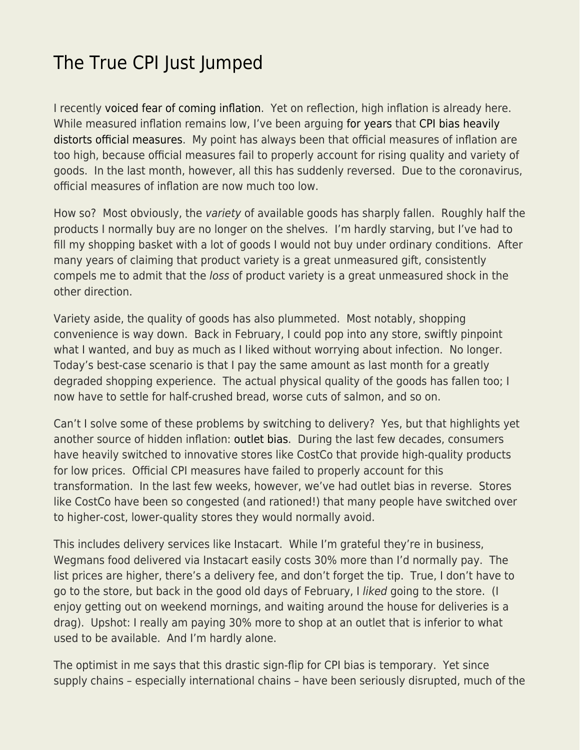## [The True CPI Just Jumped](https://everything-voluntary.com/the-true-cpi-just-jumped)

I recently [voiced fear of coming inflation.](https://www.econlib.org/i-fear-stagflation-and-general-price-controls-are-coming/) Yet on reflection, high inflation is already here. While measured inflation remains low, I've been arguing [for years](https://www.econlib.org/archives/2011/02/existence_enhan.html) that [CPI bias heavily](https://www.econlib.org/sacerdote-on-cpi-bias/) [distorts official measures.](https://www.econlib.org/sacerdote-on-cpi-bias/) My point has always been that official measures of inflation are too high, because official measures fail to properly account for rising quality and variety of goods. In the last month, however, all this has suddenly reversed. Due to the coronavirus, official measures of inflation are now much too low.

How so? Most obviously, the variety of available goods has sharply fallen. Roughly half the products I normally buy are no longer on the shelves. I'm hardly starving, but I've had to fill my shopping basket with a lot of goods I would not buy under ordinary conditions. After many years of claiming that product variety is a great unmeasured gift, consistently compels me to admit that the loss of product variety is a great unmeasured shock in the other direction.

Variety aside, the quality of goods has also plummeted. Most notably, shopping convenience is way down. Back in February, I could pop into any store, swiftly pinpoint what I wanted, and buy as much as I liked without worrying about infection. No longer. Today's best-case scenario is that I pay the same amount as last month for a greatly degraded shopping experience. The actual physical quality of the goods has fallen too; I now have to settle for half-crushed bread, worse cuts of salmon, and so on.

Can't I solve some of these problems by switching to delivery? Yes, but that highlights yet another source of hidden inflation: [outlet bias](http://www.quickmba.com/econ/macro/cpi/). During the last few decades, consumers have heavily switched to innovative stores like CostCo that provide high-quality products for low prices. Official CPI measures have failed to properly account for this transformation. In the last few weeks, however, we've had outlet bias in reverse. Stores like CostCo have been so congested (and rationed!) that many people have switched over to higher-cost, lower-quality stores they would normally avoid.

This includes delivery services like Instacart. While I'm grateful they're in business, Wegmans food delivered via Instacart easily costs 30% more than I'd normally pay. The list prices are higher, there's a delivery fee, and don't forget the tip. True, I don't have to go to the store, but back in the good old days of February, I liked going to the store. (I enjoy getting out on weekend mornings, and waiting around the house for deliveries is a drag). Upshot: I really am paying 30% more to shop at an outlet that is inferior to what used to be available. And I'm hardly alone.

The optimist in me says that this drastic sign-flip for CPI bias is temporary. Yet since supply chains – especially international chains – have been seriously disrupted, much of the